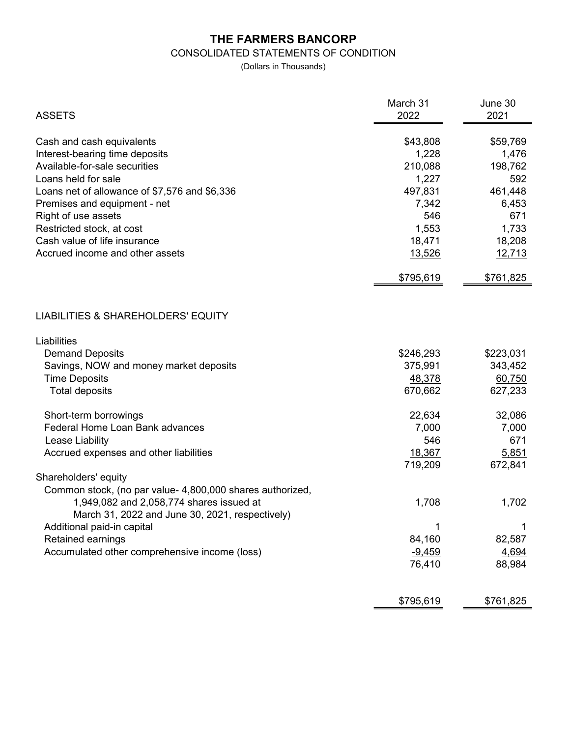## THE FARMERS BANCORP

## CONSOLIDATED STATEMENTS OF CONDITION

(Dollars in Thousands)

| <b>ASSETS</b>                                                                 | March 31<br>2022 | June 30<br>2021 |
|-------------------------------------------------------------------------------|------------------|-----------------|
| Cash and cash equivalents                                                     | \$43,808         | \$59,769        |
| Interest-bearing time deposits                                                | 1,228            | 1,476           |
| Available-for-sale securities                                                 | 210,088          | 198,762         |
| Loans held for sale                                                           | 1,227            | 592             |
| Loans net of allowance of \$7,576 and \$6,336                                 | 497,831          | 461,448         |
| Premises and equipment - net                                                  | 7,342            | 6,453           |
| Right of use assets                                                           | 546              | 671             |
| Restricted stock, at cost                                                     | 1,553            | 1,733           |
| Cash value of life insurance                                                  | 18,471           | 18,208          |
| Accrued income and other assets                                               | 13,526           | 12,713          |
|                                                                               | \$795,619        | \$761,825       |
| <b>LIABILITIES &amp; SHAREHOLDERS' EQUITY</b>                                 |                  |                 |
| Liabilities                                                                   |                  |                 |
| <b>Demand Deposits</b>                                                        | \$246,293        | \$223,031       |
| Savings, NOW and money market deposits                                        | 375,991          | 343,452         |
| <b>Time Deposits</b>                                                          | 48,378           | 60,750          |
| <b>Total deposits</b>                                                         | 670,662          | 627,233         |
| Short-term borrowings                                                         | 22,634           | 32,086          |
| Federal Home Loan Bank advances                                               | 7,000            | 7,000           |
| Lease Liability                                                               | 546              | 671             |
| Accrued expenses and other liabilities                                        | 18,367           | 5,851           |
|                                                                               | 719,209          | 672,841         |
| Shareholders' equity                                                          |                  |                 |
| Common stock, (no par value- 4,800,000 shares authorized,                     |                  |                 |
| 1,949,082 and 2,058,774 shares issued at                                      | 1,708            | 1,702           |
| March 31, 2022 and June 30, 2021, respectively)<br>Additional paid-in capital | 1                | 1               |
| Retained earnings                                                             | 84,160           | 82,587          |
| Accumulated other comprehensive income (loss)                                 | $-9,459$         | 4,694           |
|                                                                               | 76,410           | 88,984          |
|                                                                               |                  |                 |
|                                                                               | \$795,619        | \$761,825       |